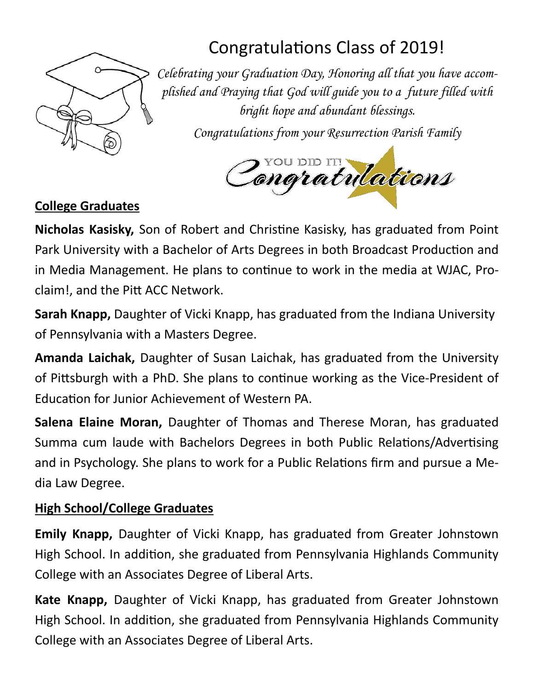

# Congratulations Class of 2019!

*Celebrating your Graduation Day, Honoring all that you have accomplished and Praying that God will guide you to a future filled with bright hope and abundant blessings.* 

*Congratulations from your Resurrection Parish Family*



### **College Graduates**

**Nicholas Kasisky,** Son of Robert and Christine Kasisky, has graduated from Point Park University with a Bachelor of Arts Degrees in both Broadcast Production and in Media Management. He plans to continue to work in the media at WJAC, Proclaim!, and the Pitt ACC Network.

**Sarah Knapp,** Daughter of Vicki Knapp, has graduated from the Indiana University of Pennsylvania with a Masters Degree.

**Amanda Laichak,** Daughter of Susan Laichak, has graduated from the University of Pittsburgh with a PhD. She plans to continue working as the Vice-President of EducaƟon for Junior Achievement of Western PA.

**Salena Elaine Moran,** Daughter of Thomas and Therese Moran, has graduated Summa cum laude with Bachelors Degrees in both Public Relations/Advertising and in Psychology. She plans to work for a Public Relations firm and pursue a Media Law Degree.

#### **High School/College Graduates**

**Emily Knapp,** Daughter of Vicki Knapp, has graduated from Greater Johnstown High School. In addition, she graduated from Pennsylvania Highlands Community College with an Associates Degree of Liberal Arts.

**Kate Knapp,** Daughter of Vicki Knapp, has graduated from Greater Johnstown High School. In addition, she graduated from Pennsylvania Highlands Community College with an Associates Degree of Liberal Arts.